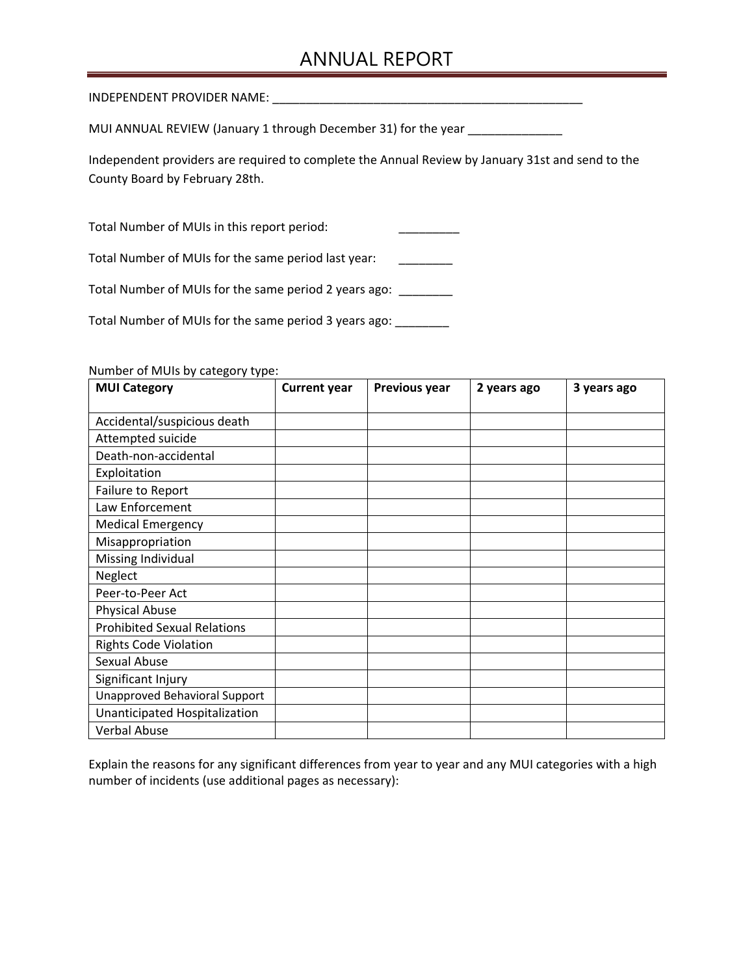## ANNUAL REPORT

INDEPENDENT PROVIDER NAME: \_\_\_\_\_\_\_\_\_\_\_\_\_\_\_\_\_\_\_\_\_\_\_\_\_\_\_\_\_\_\_\_\_\_\_\_\_\_\_\_\_\_\_\_\_\_

MUI ANNUAL REVIEW (January 1 through December 31) for the year

Independent providers are required to complete the Annual Review by January 31st and send to the County Board by February 28th.

Total Number of MUIs in this report period:

Total Number of MUIs for the same period last year: \_\_\_\_\_\_\_\_

Total Number of MUIs for the same period 2 years ago: \_\_\_\_\_\_\_\_

Total Number of MUIs for the same period 3 years ago: \_\_\_\_\_\_\_\_

Number of MUIs by category type:

| <b>MUI Category</b>                | <b>Current year</b> | Previous year | 2 years ago | 3 years ago |
|------------------------------------|---------------------|---------------|-------------|-------------|
| Accidental/suspicious death        |                     |               |             |             |
| Attempted suicide                  |                     |               |             |             |
| Death-non-accidental               |                     |               |             |             |
| Exploitation                       |                     |               |             |             |
| Failure to Report                  |                     |               |             |             |
| Law Enforcement                    |                     |               |             |             |
| <b>Medical Emergency</b>           |                     |               |             |             |
| Misappropriation                   |                     |               |             |             |
| Missing Individual                 |                     |               |             |             |
| Neglect                            |                     |               |             |             |
| Peer-to-Peer Act                   |                     |               |             |             |
| <b>Physical Abuse</b>              |                     |               |             |             |
| <b>Prohibited Sexual Relations</b> |                     |               |             |             |
| <b>Rights Code Violation</b>       |                     |               |             |             |
| Sexual Abuse                       |                     |               |             |             |
| Significant Injury                 |                     |               |             |             |
| Unapproved Behavioral Support      |                     |               |             |             |
| Unanticipated Hospitalization      |                     |               |             |             |
| <b>Verbal Abuse</b>                |                     |               |             |             |

 Explain the reasons for any significant differences from year to year and any MUI categories with a high number of incidents (use additional pages as necessary):